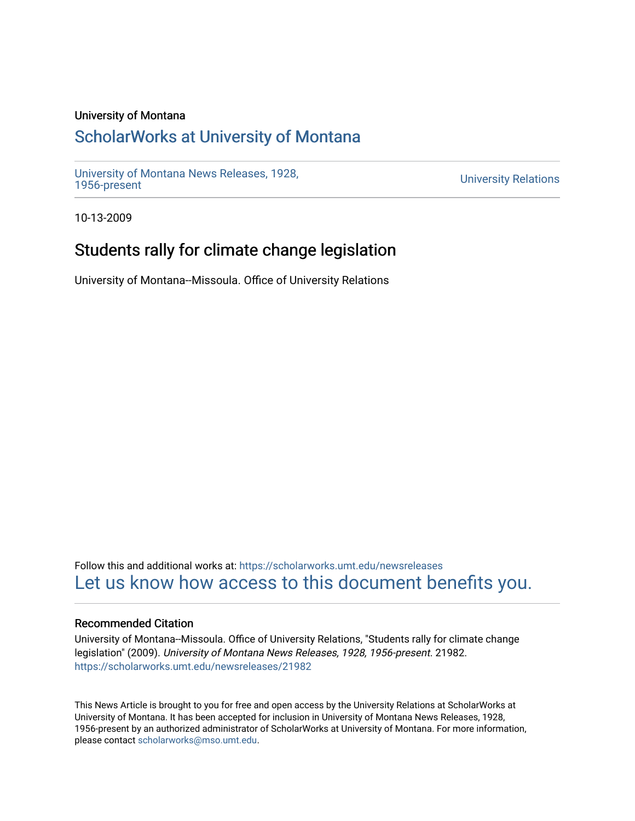### University of Montana

# [ScholarWorks at University of Montana](https://scholarworks.umt.edu/)

[University of Montana News Releases, 1928,](https://scholarworks.umt.edu/newsreleases) 

**University Relations** 

10-13-2009

# Students rally for climate change legislation

University of Montana--Missoula. Office of University Relations

Follow this and additional works at: [https://scholarworks.umt.edu/newsreleases](https://scholarworks.umt.edu/newsreleases?utm_source=scholarworks.umt.edu%2Fnewsreleases%2F21982&utm_medium=PDF&utm_campaign=PDFCoverPages) [Let us know how access to this document benefits you.](https://goo.gl/forms/s2rGfXOLzz71qgsB2) 

#### Recommended Citation

University of Montana--Missoula. Office of University Relations, "Students rally for climate change legislation" (2009). University of Montana News Releases, 1928, 1956-present. 21982. [https://scholarworks.umt.edu/newsreleases/21982](https://scholarworks.umt.edu/newsreleases/21982?utm_source=scholarworks.umt.edu%2Fnewsreleases%2F21982&utm_medium=PDF&utm_campaign=PDFCoverPages) 

This News Article is brought to you for free and open access by the University Relations at ScholarWorks at University of Montana. It has been accepted for inclusion in University of Montana News Releases, 1928, 1956-present by an authorized administrator of ScholarWorks at University of Montana. For more information, please contact [scholarworks@mso.umt.edu.](mailto:scholarworks@mso.umt.edu)